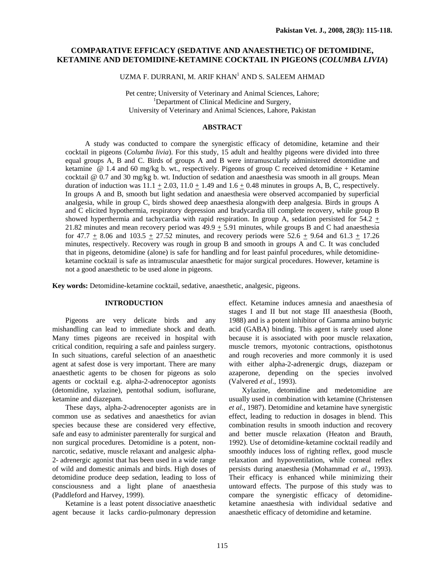# **COMPARATIVE EFFICACY (SEDATIVE AND ANAESTHETIC) OF DETOMIDINE, KETAMINE AND DETOMIDINE-KETAMINE COCKTAIL IN PIGEONS (***COLUMBA LIVIA***)**

UZMA F. DURRANI, M. ARIF KHAN<sup>1</sup> AND S. SALEEM AHMAD

Pet centre; University of Veterinary and Animal Sciences, Lahore; <sup>1</sup>Department of Clinical Medicine and Surgery, University of Veterinary and Animal Sciences, Lahore, Pakistan

### **ABSTRACT**

 A study was conducted to compare the synergistic efficacy of detomidine, ketamine and their cocktail in pigeons (*Columba livia*). For this study, 15 adult and healthy pigeons were divided into three equal groups A, B and C. Birds of groups A and B were intramuscularly administered detomidine and ketamine @ 1.4 and 60 mg/kg b. wt., respectively. Pigeons of group C received detomidine + Ketamine cocktail @ 0.7 and 30 mg/kg b. wt. Induction of sedation and anaesthesia was smooth in all groups. Mean duration of induction was  $11.1 + 2.03$ ,  $11.0 + 1.49$  and  $1.6 + 0.48$  minutes in groups A, B, C, respectively. In groups A and B, smooth but light sedation and anaesthesia were observed accompanied by superficial analgesia, while in group C, birds showed deep anaesthesia alongwith deep analgesia. Birds in groups A and C elicited hypothermia, respiratory depression and bradycardia till complete recovery, while group B showed hyperthermia and tachycardia with rapid respiration. In group A, sedation persisted for  $54.2 +$ 21.82 minutes and mean recovery period was  $49.9 \pm 5.91$  minutes, while groups B and C had anaesthesia for 47.7 + 8.06 and  $103.5 + 27.52$  minutes, and recovery periods were  $52.6 + 9.64$  and  $61.3 + 17.26$ minutes, respectively. Recovery was rough in group B and smooth in groups A and C. It was concluded that in pigeons, detomidine (alone) is safe for handling and for least painful procedures, while detomidineketamine cocktail is safe as intramuscular anaesthetic for major surgical procedures. However, ketamine is not a good anaesthetic to be used alone in pigeons.

**Key words:** Detomidine-ketamine cocktail, sedative, anaesthetic, analgesic, pigeons.

#### **INTRODUCTION**

Pigeons are very delicate birds and any mishandling can lead to immediate shock and death. Many times pigeons are received in hospital with critical condition, requiring a safe and painless surgery. In such situations, careful selection of an anaesthetic agent at safest dose is very important. There are many anaesthetic agents to be chosen for pigeons as solo agents or cocktail e.g. alpha-2-adrenoceptor agonists (detomidine, xylazine), pentothal sodium, isoflurane, ketamine and diazepam.

These days, alpha-2-adrenocepter agonists are in common use as sedatives and anaesthetics for avian species because these are considered very effective, safe and easy to administer parenterally for surgical and non surgical procedures. Detomidine is a potent, nonnarcotic, sedative, muscle relaxant and analgesic alpha-2- adrenergic agonist that has been used in a wide range of wild and domestic animals and birds. High doses of detomidine produce deep sedation, leading to loss of consciousness and a light plane of anaesthesia (Paddleford and Harvey, 1999).

 Ketamine is a least potent dissociative anaesthetic agent because it lacks cardio-pulmonary depression

effect. Ketamine induces amnesia and anaesthesia of stages I and II but not stage III anaesthesia (Booth, 1988) and is a potent inhibitor of Gamma amino butyric acid (GABA) binding. This agent is rarely used alone because it is associated with poor muscle relaxation, muscle tremors, myotonic contractions, opisthotonus and rough recoveries and more commonly it is used with either alpha-2-adrenergic drugs, diazepam or azaperone, depending on the species involved (Valvered *et al*., 1993).

Xylazine, detomidine and medetomidine are usually used in combination with ketamine (Christensen *et al.,* 1987). Detomidine and ketamine have synergistic effect, leading to reduction in dosages in blend. This combination results in smooth induction and recovery and better muscle relaxation (Heaton and Brauth, 1992). Use of detomidine-ketamine cocktail readily and smoothly induces loss of righting reflex, good muscle relaxation and hypoventilation, while corneal reflex persists during anaesthesia (Mohammad *et al*., 1993). Their efficacy is enhanced while minimizing their untoward effects. The purpose of this study was to compare the synergistic efficacy of detomidineketamine anaesthesia with individual sedative and anaesthetic efficacy of detomidine and ketamine.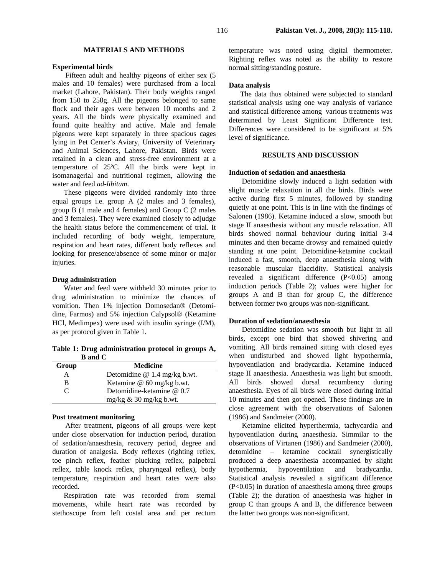### **MATERIALS AND METHODS**

### **Experimental birds**

Fifteen adult and healthy pigeons of either sex (5 males and 10 females) were purchased from a local market (Lahore, Pakistan). Their body weights ranged from 150 to 250g. All the pigeons belonged to same flock and their ages were between 10 months and 2 years. All the birds were physically examined and found quite healthy and active. Male and female pigeons were kept separately in three spacious cages lying in Pet Center's Aviary, University of Veterinary and Animal Sciences, Lahore, Pakistan. Birds were retained in a clean and stress-free environment at a temperature of 25ºC. All the birds were kept in isomanagerial and nutritional regimen, allowing the water and feed *ad-libitum*.

 These pigeons were divided randomly into three equal groups i.e. group A (2 males and 3 females), group B (1 male and 4 females) and Group C (2 males and 3 females). They were examined closely to adjudge the health status before the commencement of trial. It included recording of body weight, temperature, respiration and heart rates, different body reflexes and looking for presence/absence of some minor or major injuries.

### **Drug administration**

 Water and feed were withheld 30 minutes prior to drug administration to minimize the chances of vomition. Then 1% injection Domosedan® (Detomidine, Farmos) and 5% injection Calypsol® (Ketamine HCl, Medimpex) were used with insulin syringe (I/M), as per protocol given in Table 1.

**Table 1: Drug administration protocol in groups A, B and C** 

| Group                       | <b>Medicine</b>                |  |  |  |
|-----------------------------|--------------------------------|--|--|--|
| А                           | Detomidine $@$ 1.4 mg/kg b.wt. |  |  |  |
| в                           | Ketamine @ 60 mg/kg b.wt.      |  |  |  |
| $\mathcal{C}_{\mathcal{C}}$ | Detomidine-ketamine @ 0.7      |  |  |  |
|                             | mg/kg $\&$ 30 mg/kg b.wt.      |  |  |  |

### **Post treatment monitoring**

After treatment, pigeons of all groups were kept under close observation for induction period, duration of sedation/anaesthesia, recovery period, degree and duration of analgesia. Body reflexes (righting reflex, toe pinch reflex, feather plucking reflex, palpebral reflex, table knock reflex, pharyngeal reflex), body temperature, respiration and heart rates were also recorded.

 Respiration rate was recorded from sternal movements, while heart rate was recorded by stethoscope from left costal area and per rectum temperature was noted using digital thermometer. Righting reflex was noted as the ability to restore normal sitting/standing posture.

### **Data analysis**

 The data thus obtained were subjected to standard statistical analysis using one way analysis of variance and statistical difference among various treatments was determined by Least Significant Difference test. Differences were considered to be significant at 5% level of significance.

# **RESULTS AND DISCUSSION**

### **Induction of sedation and anaesthesia**

Detomidine slowly induced a light sedation with slight muscle relaxation in all the birds. Birds were active during first 5 minutes, followed by standing quietly at one point. This is in line with the findings of Salonen (1986). Ketamine induced a slow, smooth but stage II anaesthesia without any muscle relaxation. All birds showed normal behaviour during initial 3-4 minutes and then became drowsy and remained quietly standing at one point. Detomidine-ketamine cocktail induced a fast, smooth, deep anaesthesia along with reasonable muscular flaccidity. Statistical analysis revealed a significant difference (P<0.05) among induction periods (Table 2); values were higher for groups A and B than for group C, the difference between former two groups was non-significant.

### **Duration of sedation/anaesthesia**

Detomidine sedation was smooth but light in all birds, except one bird that showed shivering and vomiting. All birds remained sitting with closed eyes when undisturbed and showed light hypothermia, hypoventilation and bradycardia. Ketamine induced stage II anaesthesia. Anaesthesia was light but smooth. All birds showed dorsal recumbency during anaesthesia. Eyes of all birds were closed during initial 10 minutes and then got opened. These findings are in close agreement with the observations of Salonen (1986) and Sandmeier (2000).

Ketamine elicited hyperthermia, tachycardia and hypoventilation during anaesthesia. Simmilar to the observations of Virtanen (1986) and Sandmeier (2000), detomidine – ketamine cocktail synergistically produced a deep anaesthesia accompanied by slight hypothermia, hypoventilation and bradycardia. Statistical analysis revealed a significant difference (P<0.05) in duration of anaesthesia among three groups (Table 2); the duration of anaesthesia was higher in group C than groups A and B, the difference between the latter two groups was non-significant.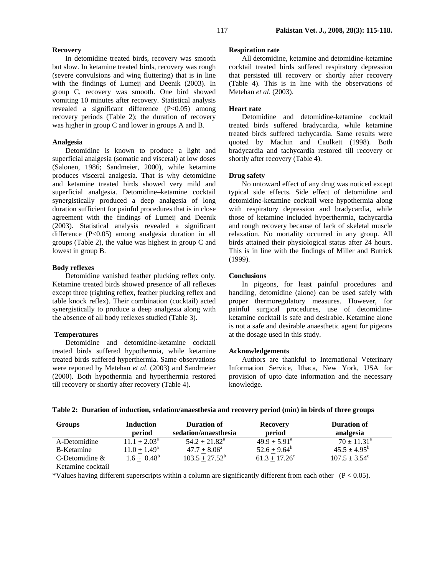### **Recovery**

In detomidine treated birds, recovery was smooth but slow. In ketamine treated birds, recovery was rough (severe convulsions and wing fluttering) that is in line with the findings of Lumeij and Deenik (2003). In group C, recovery was smooth. One bird showed vomiting 10 minutes after recovery. Statistical analysis revealed a significant difference (P<0.05) among recovery periods (Table 2); the duration of recovery was higher in group C and lower in groups A and B.

## **Analgesia**

Detomidine is known to produce a light and superficial analgesia (somatic and visceral) at low doses (Salonen, 1986; Sandmeier, 2000), while ketamine produces visceral analgesia. That is why detomidine and ketamine treated birds showed very mild and superficial analgesia. Detomidine–ketamine cocktail synergistically produced a deep analgesia of long duration sufficient for painful procedures that is in close agreement with the findings of Lumeij and Deenik (2003). Statistical analysis revealed a significant difference (P<0.05) among analgesia duration in all groups (Table 2), the value was highest in group C and lowest in group B.

# **Body reflexes**

 Detomidine vanished feather plucking reflex only. Ketamine treated birds showed presence of all reflexes except three (righting reflex, feather plucking reflex and table knock reflex). Their combination (cocktail) acted synergistically to produce a deep analgesia along with the absence of all body reflexes studied (Table 3).

### **Temperatures**

Detomidine and detomidine-ketamine cocktail treated birds suffered hypothermia, while ketamine treated birds suffered hyperthermia. Same observations were reported by Metehan *et al*. (2003) and Sandmeier (2000). Both hypothermia and hyperthermia restored till recovery or shortly after recovery (Table 4).

### **Respiration rate**

All detomidine, ketamine and detomidine-ketamine cocktail treated birds suffered respiratory depression that persisted till recovery or shortly after recovery (Table 4). This is in line with the observations of Metehan *et al*. (2003).

### **Heart rate**

Detomidine and detomidine-ketamine cocktail treated birds suffered bradycardia, while ketamine treated birds suffered tachycardia. Same results were quoted by Machin and Caulkett (1998). Both bradycardia and tachycardia restored till recovery or shortly after recovery (Table 4).

# **Drug safety**

No untoward effect of any drug was noticed except typical side effects. Side effect of detomidine and detomidine-ketamine cocktail were hypothermia along with respiratory depression and bradycardia, while those of ketamine included hyperthermia, tachycardia and rough recovery because of lack of skeletal muscle relaxation. No mortality occurred in any group. All birds attained their physiological status after 24 hours. This is in line with the findings of Miller and Butrick (1999).

### **Conclusions**

In pigeons, for least painful procedures and handling, detomidine (alone) can be used safely with proper thermoregulatory measures. However, for painful surgical procedures, use of detomidineketamine cocktail is safe and desirable. Ketamine alone is not a safe and desirable anaesthetic agent for pigeons at the dosage used in this study.

#### **Acknowledgements**

Authors are thankful to International Veterinary Information Service, Ithaca, New York, USA for provision of upto date information and the necessary knowledge.

| <b>Groups</b>     | <b>Induction</b><br>period | <b>Duration of</b><br>sedation/anaesthesia | <b>Recovery</b><br>period | <b>Duration of</b><br>analgesia |
|-------------------|----------------------------|--------------------------------------------|---------------------------|---------------------------------|
| A-Detomidine      | $11.1 + 2.03^{\circ}$      | $54.2 + 21.82^{\circ}$                     | $49.9 + 5.91^a$           | $70 \pm 11.31^{\circ}$          |
| <b>B-Ketamine</b> | $11.0 \pm 1.49^{\rm a}$    | $47.7 \pm 8.06^{\circ}$                    | $52.6 \pm 9.64^b$         | $45.5 \pm 4.95^{\rm b}$         |
| C-Detomidine $&$  | $1.6 + 0.48^b$             | $103.5 + 27.52^b$                          | $61.3 + 17.26^c$          | $107.5 \pm 3.54^{\circ}$        |
| Ketamine cocktail |                            |                                            |                           |                                 |

\*Values having different superscripts within a column are significantly different from each other  $(P < 0.05)$ .